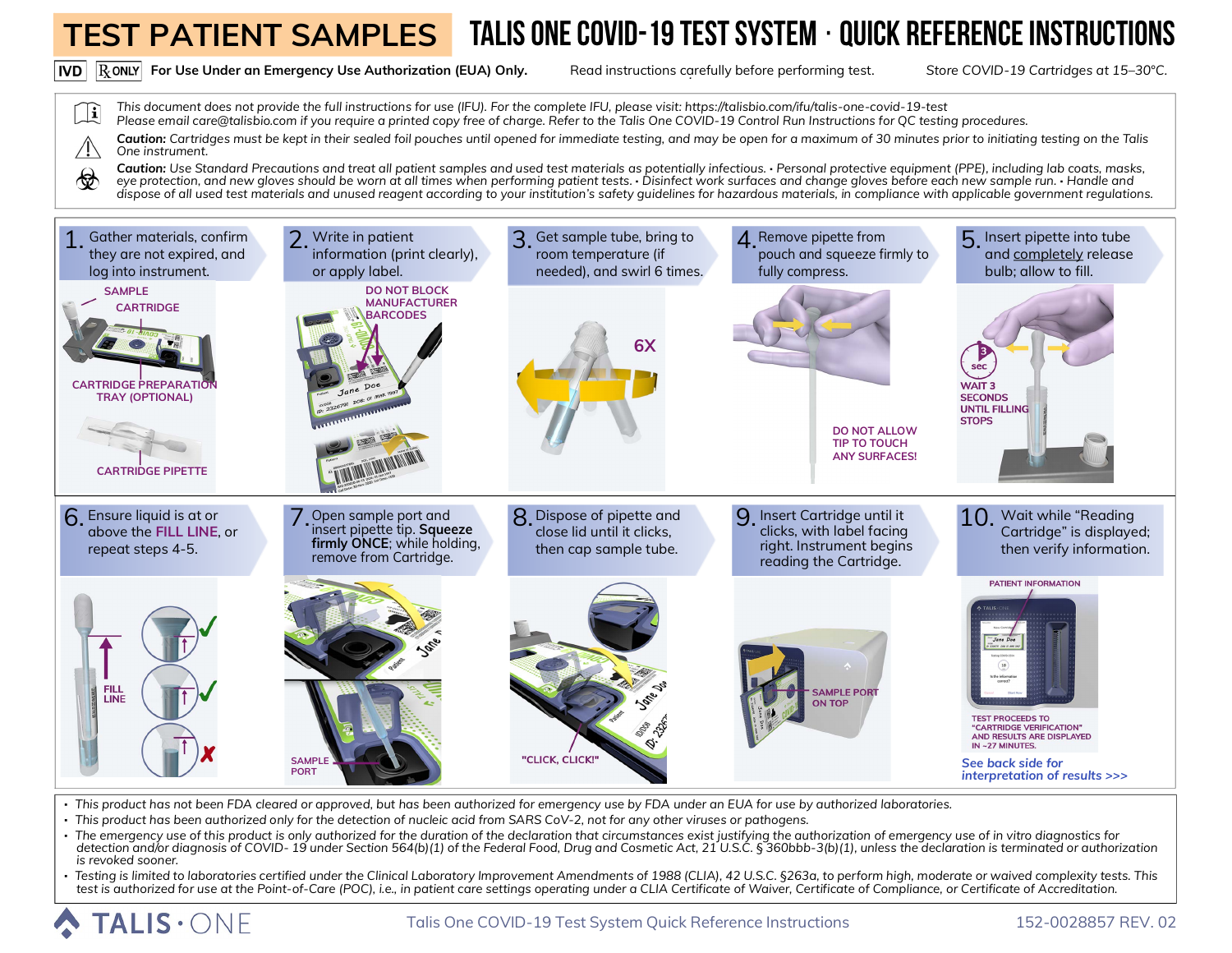

Caution: Use Standard Precautions and treat all patient samples and used test materials as potentially infectious. · Personal protective equipment (PPE), including lab coats, masks, ∕ *eye protection, and new gloves should be worn at all times when performing patient tests.* **·** *Disinfect work surfaces and change gloves before each new sample run.* **·** *Handle and dispose of all used test materials and unused reagent according to your institution's safety guidelines for hazardous materials, in compliance with applicable government regulations.* 



**·** *This product has not been FDA cleared or approved, but has been authorized for emergency use by FDA under an EUA for use by authorized laboratories.*

- **·** *This product has been authorized only for the detection of nucleic acid from SARS CoV-2, not for any other viruses or pathogens.*
- **·** *The emergency use of this product is only authorized for the duration of the declaration that circumstances exist justifying the authorization of emergency use of in vitro diagnostics for*  detection and/or diagnosis of COVID-19 under Section 564(b)(1) of the Federal Food, Drug and Cosmetic Act, 21 U.S.C. § 360bbb-3(b)(1), unless the declaration is terminated or authorization *is revoked sooner.*
- · Testing is limited to laboratories certified under the Clinical Laboratory Improvement Amendments of 1988 (CLIA), 42 U.S.C. §263a, to perform high, moderate or waived complexity tests. This<br>test is authorized for use at